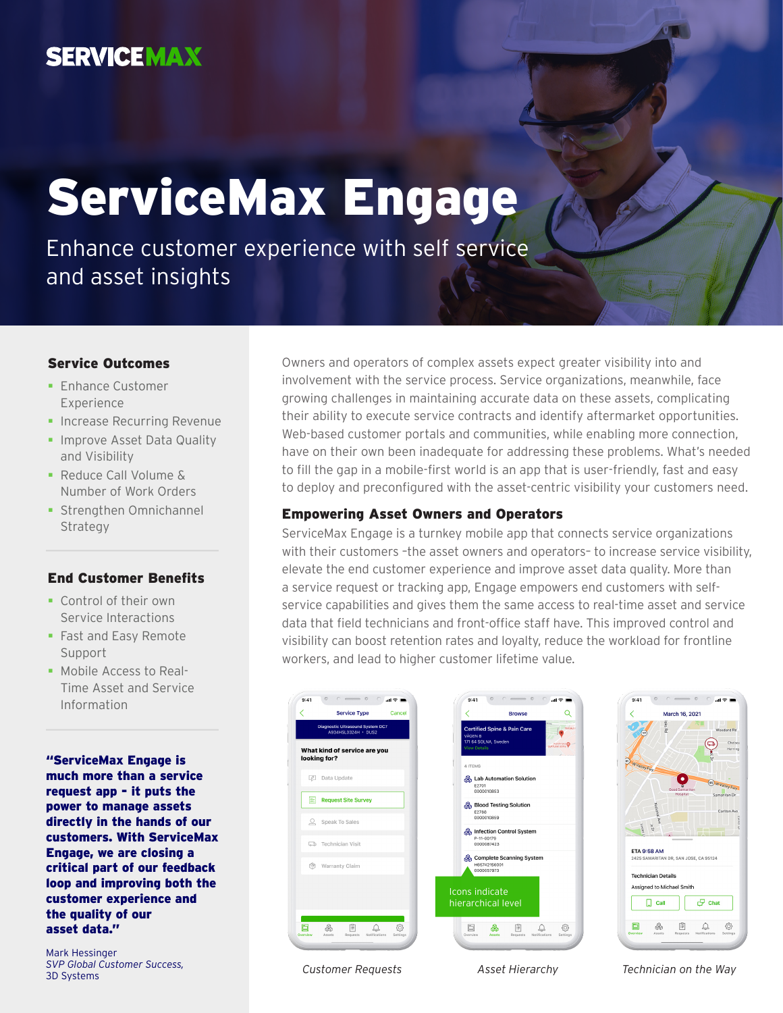## **SERVICEMAX**

# ServiceMax Engage

Enhance customer experience with self service and asset insights

#### Service Outcomes

- **Enhance Customer** Experience
- **Increase Recurring Revenue**
- **Improve Asset Data Quality** and Visibility
- Reduce Call Volume & Number of Work Orders
- **Strengthen Omnichannel** Strategy

#### End Customer Benefits

- Control of their own Service Interactions
- **Fast and Easy Remote** Support
- Mobile Access to Real-Time Asset and Service Information

"ServiceMax Engage is much more than a service request app - it puts the power to manage assets directly in the hands of our customers. With ServiceMax Engage, we are closing a critical part of our feedback loop and improving both the customer experience and the quality of our asset data."

Mark Hessinger *SVP Global Customer Success,* 3D Systems

Owners and operators of complex assets expect greater visibility into and involvement with the service process. Service organizations, meanwhile, face growing challenges in maintaining accurate data on these assets, complicating their ability to execute service contracts and identify aftermarket opportunities. Web-based customer portals and communities, while enabling more connection, have on their own been inadequate for addressing these problems. What's needed to fill the gap in a mobile-first world is an app that is user-friendly, fast and easy to deploy and preconfigured with the asset-centric visibility your customers need.

#### Empowering Asset Owners and Operators

ServiceMax Engage is a turnkey mobile app that connects service organizations with their customers –the asset owners and operators– to increase service visibility, elevate the end customer experience and improve asset data quality. More than a service request or tracking app, Engage empowers end customers with selfservice capabilities and gives them the same access to real-time asset and service data that field technicians and front-office staff have. This improved control and visibility can boost retention rates and loyalty, reduce the workload for frontline workers, and lead to higher customer lifetime value.





*Customer Requests Asset Hierarchy Technician on the Way*